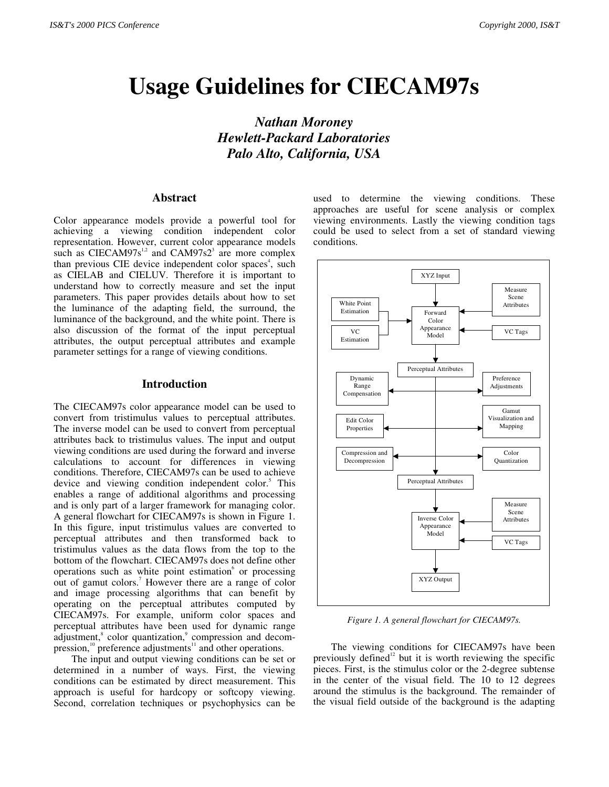# **Usage Guidelines for CIECAM97s**

*Nathan Moroney Hewlett-Packard Laboratories Palo Alto, California, USA*

# **Abstract**

Color appearance models provide a powerful tool for achieving a viewing condition independent color representation. However, current color appearance models such as CIECAM97s<sup>1,2</sup> and CAM97s2<sup>3</sup> are more complex than previous CIE device independent color spaces<sup>4</sup>, such as CIELAB and CIELUV. Therefore it is important to understand how to correctly measure and set the input parameters. This paper provides details about how to set the luminance of the adapting field, the surround, the luminance of the background, and the white point. There is also discussion of the format of the input perceptual attributes, the output perceptual attributes and example parameter settings for a range of viewing conditions.

# **Introduction**

The CIECAM97s color appearance model can be used to convert from tristimulus values to perceptual attributes. The inverse model can be used to convert from perceptual attributes back to tristimulus values. The input and output viewing conditions are used during the forward and inverse calculations to account for differences in viewing conditions. Therefore, CIECAM97s can be used to achieve device and viewing condition independent color.<sup>5</sup> This enables a range of additional algorithms and processing and is only part of a larger framework for managing color. A general flowchart for CIECAM97s is shown in Figure 1. In this figure, input tristimulus values are converted to perceptual attributes and then transformed back to tristimulus values as the data flows from the top to the bottom of the flowchart. CIECAM97s does not define other operations such as white point estimation or processing out of gamut colors.<sup>7</sup> However there are a range of color and image processing algorithms that can benefit by operating on the perceptual attributes computed by CIECAM97s. For example, uniform color spaces and perceptual attributes have been used for dynamic range adjustment,<sup>8</sup> color quantization,<sup>9</sup> compression and decompression, $10$  preference adjustments<sup>11</sup> and other operations.

The input and output viewing conditions can be set or determined in a number of ways. First, the viewing conditions can be estimated by direct measurement. This approach is useful for hardcopy or softcopy viewing. Second, correlation techniques or psychophysics can be

used to determine the viewing conditions. These approaches are useful for scene analysis or complex viewing environments. Lastly the viewing condition tags could be used to select from a set of standard viewing conditions.



*Figure 1. A general flowchart for CIECAM97s.*

The viewing conditions for CIECAM97s have been previously defined<sup>12</sup> but it is worth reviewing the specific pieces. First, is the stimulus color or the 2-degree subtense in the center of the visual field. The 10 to 12 degrees around the stimulus is the background. The remainder of the visual field outside of the background is the adapting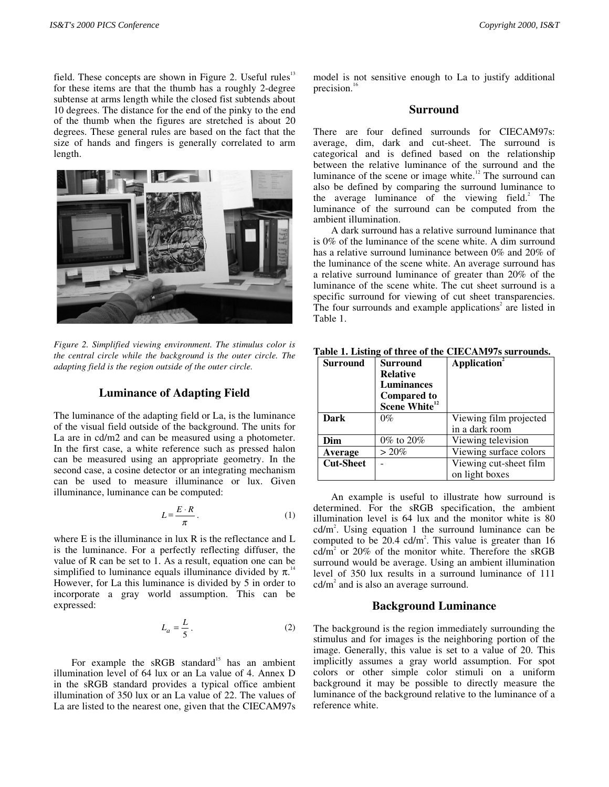field. These concepts are shown in Figure 2. Useful rules $13$ for these items are that the thumb has a roughly 2-degree subtense at arms length while the closed fist subtends about 10 degrees. The distance for the end of the pinky to the end of the thumb when the figures are stretched is about 20 degrees. These general rules are based on the fact that the size of hands and fingers is generally correlated to arm length.



*Figure 2. Simplified viewing environment. The stimulus color is the central circle while the background is the outer circle. The adapting field is the region outside of the outer circle.*

## **Luminance of Adapting Field**

The luminance of the adapting field or La, is the luminance of the visual field outside of the background. The units for La are in cd/m2 and can be measured using a photometer. In the first case, a white reference such as pressed halon can be measured using an appropriate geometry. In the second case, a cosine detector or an integrating mechanism can be used to measure illuminance or lux. Given illuminance, luminance can be computed:

$$
L = \frac{E \cdot R}{\pi} \,. \tag{1}
$$

where E is the illuminance in lux R is the reflectance and L is the luminance. For a perfectly reflecting diffuser, the value of R can be set to 1. As a result, equation one can be simplified to luminance equals illuminance divided by  $\pi$ .<sup>14</sup> However, for La this luminance is divided by 5 in order to incorporate a gray world assumption. This can be expressed:

$$
L_a = \frac{L}{5} \,. \tag{2}
$$

For example the  $sRGB$  standard<sup>15</sup> has an ambient illumination level of 64 lux or an La value of 4. Annex D in the sRGB standard provides a typical office ambient illumination of 350 lux or an La value of 22. The values of La are listed to the nearest one, given that the CIECAM97s

model is not sensitive enough to La to justify additional precision.<sup>16</sup>

# **Surround**

There are four defined surrounds for CIECAM97s: average, dim, dark and cut-sheet. The surround is categorical and is defined based on the relationship between the relative luminance of the surround and the luminance of the scene or image white.<sup>12</sup> The surround can also be defined by comparing the surround luminance to the average luminance of the viewing field.<sup>2</sup> The luminance of the surround can be computed from the ambient illumination.

A dark surround has a relative surround luminance that is 0% of the luminance of the scene white. A dim surround has a relative surround luminance between 0% and 20% of the luminance of the scene white. An average surround has a relative surround luminance of greater than 20% of the luminance of the scene white. The cut sheet surround is a specific surround for viewing of cut sheet transparencies. The four surrounds and example applications<sup>2</sup> are listed in Table 1.

| <b>Surround</b>  | <b>Surround</b>           | Application <sup>2</sup> |
|------------------|---------------------------|--------------------------|
|                  | <b>Relative</b>           |                          |
|                  | Luminances                |                          |
|                  | <b>Compared to</b>        |                          |
|                  | Scene White <sup>12</sup> |                          |
| Dark             | $0\%$                     | Viewing film projected   |
|                  |                           | in a dark room           |
| Dim              | $0\%$ to $20\%$           | Viewing television       |
| Average          | $> 20\%$                  | Viewing surface colors   |
| <b>Cut-Sheet</b> |                           | Viewing cut-sheet film   |
|                  |                           | on light boxes           |

**Table 1. Listing of three of the CIECAM97s surrounds.**

An example is useful to illustrate how surround is determined. For the sRGB specification, the ambient illumination level is 64 lux and the monitor white is 80  $cd/m<sup>2</sup>$ . Using equation 1 the surround luminance can be computed to be 20.4 cd/ $m^2$ . This value is greater than 16 cd/m<sup>2</sup> or 20% of the monitor white. Therefore the sRGB surround would be average. Using an ambient illumination level of 350 lux results in a surround luminance of 111  $cd/m<sup>2</sup>$  and is also an average surround.

## **Background Luminance**

The background is the region immediately surrounding the stimulus and for images is the neighboring portion of the image. Generally, this value is set to a value of 20. This implicitly assumes a gray world assumption. For spot colors or other simple color stimuli on a uniform background it may be possible to directly measure the luminance of the background relative to the luminance of a reference white.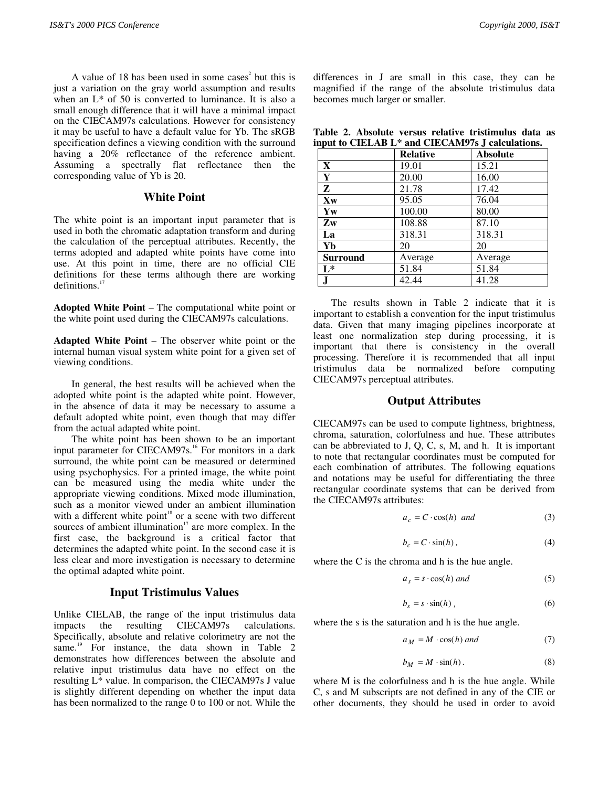A value of 18 has been used in some cases<sup>2</sup> but this is just a variation on the gray world assumption and results when an  $L^*$  of 50 is converted to luminance. It is also a small enough difference that it will have a minimal impact on the CIECAM97s calculations. However for consistency it may be useful to have a default value for Yb. The sRGB specification defines a viewing condition with the surround having a 20% reflectance of the reference ambient. Assuming a spectrally flat reflectance then the corresponding value of Yb is 20.

# **White Point**

The white point is an important input parameter that is used in both the chromatic adaptation transform and during the calculation of the perceptual attributes. Recently, the terms adopted and adapted white points have come into use. At this point in time, there are no official CIE definitions for these terms although there are working definitions.<sup>17</sup>

**Adopted White Point** – The computational white point or the white point used during the CIECAM97s calculations.

**Adapted White Point** – The observer white point or the internal human visual system white point for a given set of viewing conditions.

In general, the best results will be achieved when the adopted white point is the adapted white point. However, in the absence of data it may be necessary to assume a default adopted white point, even though that may differ from the actual adapted white point.

The white point has been shown to be an important input parameter for CIECAM97s.<sup>16</sup> For monitors in a dark surround, the white point can be measured or determined using psychophysics. For a printed image, the white point can be measured using the media white under the appropriate viewing conditions. Mixed mode illumination, such as a monitor viewed under an ambient illumination with a different white point<sup>18</sup> or a scene with two different sources of ambient illumination $17$  are more complex. In the first case, the background is a critical factor that determines the adapted white point. In the second case it is less clear and more investigation is necessary to determine the optimal adapted white point.

#### **Input Tristimulus Values**

Unlike CIELAB, the range of the input tristimulus data impacts the resulting CIECAM97s calculations. Specifically, absolute and relative colorimetry are not the same.<sup>19</sup> For instance, the data shown in Table 2 demonstrates how differences between the absolute and relative input tristimulus data have no effect on the resulting L\* value. In comparison, the CIECAM97s J value is slightly different depending on whether the input data has been normalized to the range 0 to 100 or not. While the

differences in J are small in this case, they can be magnified if the range of the absolute tristimulus data becomes much larger or smaller.

**Table 2. Absolute versus relative tristimulus data as input to CIELAB L\* and CIECAM97s J calculations.**

|                         | <b>Relative</b> | <b>Absolute</b> |
|-------------------------|-----------------|-----------------|
| $\mathbf{X}$            | 19.01           | 15.21           |
| $\overline{\mathbf{Y}}$ | 20.00           | 16.00           |
| $\overline{z}$          | 21.78           | 17.42           |
| Xw                      | 95.05           | 76.04           |
| Yw                      | 100.00          | 80.00           |
| $\mathbf{Z}$ w          | 108.88          | 87.10           |
| La                      | 318.31          | 318.31          |
| Yb                      | 20              | 20              |
| <b>Surround</b>         | Average         | Average         |
| $L^*$                   | 51.84           | 51.84           |
| J                       | 42.44           | 41.28           |

The results shown in Table 2 indicate that it is important to establish a convention for the input tristimulus data. Given that many imaging pipelines incorporate at least one normalization step during processing, it is important that there is consistency in the overall processing. Therefore it is recommended that all input tristimulus data be normalized before computing CIECAM97s perceptual attributes.

### **Output Attributes**

CIECAM97s can be used to compute lightness, brightness, chroma, saturation, colorfulness and hue. These attributes can be abbreviated to J, Q, C, s, M, and h. It is important to note that rectangular coordinates must be computed for each combination of attributes. The following equations and notations may be useful for differentiating the three rectangular coordinate systems that can be derived from the CIECAM97s attributes:

$$
a_c = C \cdot \cos(h) \quad and \tag{3}
$$

$$
b_c = C \cdot \sin(h) \,, \tag{4}
$$

where the C is the chroma and h is the hue angle.

$$
a_s = s \cdot \cos(h) \text{ and } \tag{5}
$$

$$
b_s = s \cdot \sin(h) \tag{6}
$$

where the s is the saturation and h is the hue angle.

$$
a_M = M \cdot \cos(h) \text{ and } \tag{7}
$$

$$
b_M = M \cdot \sin(h). \tag{8}
$$

where M is the colorfulness and h is the hue angle. While C, s and M subscripts are not defined in any of the CIE or other documents, they should be used in order to avoid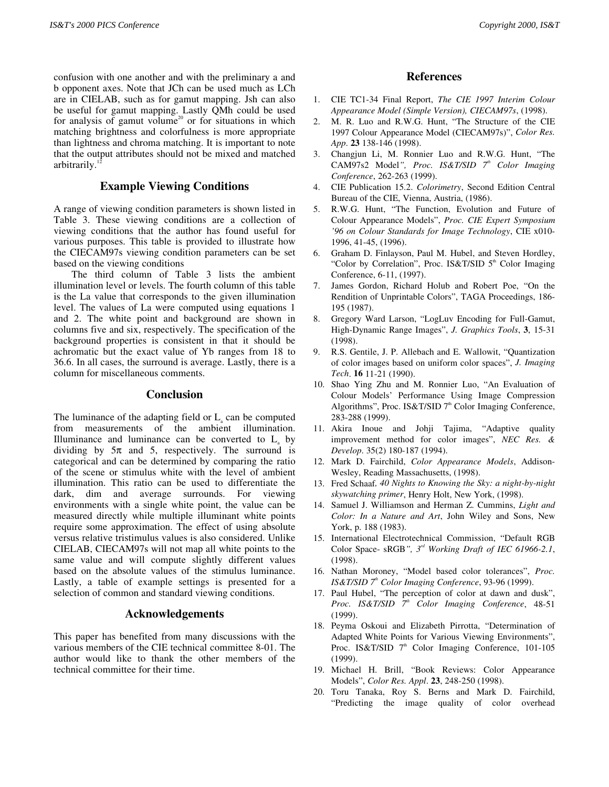confusion with one another and with the preliminary a and b opponent axes. Note that JCh can be used much as LCh are in CIELAB, such as for gamut mapping. Jsh can also be useful for gamut mapping. Lastly QMh could be used for analysis of gamut volume<sup>20</sup> or for situations in which matching brightness and colorfulness is more appropriate than lightness and chroma matching. It is important to note that the output attributes should not be mixed and matched arbitrarily.

# **Example Viewing Conditions**

A range of viewing condition parameters is shown listed in Table 3. These viewing conditions are a collection of viewing conditions that the author has found useful for various purposes. This table is provided to illustrate how the CIECAM97s viewing condition parameters can be set based on the viewing conditions

The third column of Table 3 lists the ambient illumination level or levels. The fourth column of this table is the La value that corresponds to the given illumination level. The values of La were computed using equations 1 and 2. The white point and background are shown in columns five and six, respectively. The specification of the background properties is consistent in that it should be achromatic but the exact value of Yb ranges from 18 to 36.6. In all cases, the surround is average. Lastly, there is a column for miscellaneous comments.

#### **Conclusion**

The luminance of the adapting field or  $L<sub>a</sub>$  can be computed from measurements of the ambient illumination. Illuminance and luminance can be converted to  $L<sub>a</sub>$  by dividing by  $5\pi$  and 5, respectively. The surround is categorical and can be determined by comparing the ratio of the scene or stimulus white with the level of ambient illumination. This ratio can be used to differentiate the dark, dim and average surrounds. For viewing environments with a single white point, the value can be measured directly while multiple illuminant white points require some approximation. The effect of using absolute versus relative tristimulus values is also considered. Unlike CIELAB, CIECAM97s will not map all white points to the same value and will compute slightly different values based on the absolute values of the stimulus luminance. Lastly, a table of example settings is presented for a selection of common and standard viewing conditions.

# **Acknowledgements**

This paper has benefited from many discussions with the various members of the CIE technical committee 8-01. The author would like to thank the other members of the technical committee for their time.

## **References**

- 1. CIE TC1-34 Final Report, *The CIE 1997 Interim Colour Appearance Model (Simple Version), CIECAM97s*, (1998).
- 2. M. R. Luo and R.W.G. Hunt, "The Structure of the CIE 1997 Colour Appearance Model (CIECAM97s)", *Color Res. App*. **23** 138-146 (1998).
- 3. Changjun Li, M. Ronnier Luo and R.W.G. Hunt, "The CAM97s2 Model*", Proc. IS&T/SID 7th Color Imaging Conference*, 262-263 (1999).
- 4. CIE Publication 15.2. *Colorimetry*, Second Edition Central Bureau of the CIE, Vienna, Austria, (1986).
- 5. R.W.G. Hunt, "The Function, Evolution and Future of Colour Appearance Models", *Proc. CIE Expert Symposium '96 on Colour Standards for Image Technology*, CIE x010- 1996, 41-45, (1996).
- 6. Graham D. Finlayson, Paul M. Hubel, and Steven Hordley, "Color by Correlation", Proc. IS&T/SID  $5<sup>th</sup>$  Color Imaging Conference, 6-11, (1997).
- 7. James Gordon, Richard Holub and Robert Poe, "On the Rendition of Unprintable Colors", TAGA Proceedings, 186- 195 (1987).
- 8. Gregory Ward Larson, "LogLuv Encoding for Full-Gamut, High-Dynamic Range Images", *J. Graphics Tools*, **3**, 15-31 (1998).
- 9. R.S. Gentile, J. P. Allebach and E. Wallowit, "Quantization of color images based on uniform color spaces", *J. Imaging Tech*. **16** 11-21 (1990).
- 10. Shao Ying Zhu and M. Ronnier Luo, "An Evaluation of Colour Models' Performance Using Image Compression Algorithms", Proc. IS&T/SID  $7<sup>th</sup>$  Color Imaging Conference, 283-288 (1999).
- 11. Akira Inoue and Johji Tajima, "Adaptive quality improvement method for color images", *NEC Res. & Develop*. 35(2) 180-187 (1994).
- 12. Mark D. Fairchild, *Color Appearance Models*, Addison-Wesley, Reading Massachusetts, (1998).
- 13. Fred Schaaf*, 40 Nights to Knowing the Sky: a night-by-night skywatching primer*, Henry Holt, New York, (1998).
- 14. Samuel J. Williamson and Herman Z. Cummins, *Light and Color: In a Nature and Art*, John Wiley and Sons, New York, p. 188 (1983).
- 15. International Electrotechnical Commission, "Default RGB Color Space- sRGB*", 3rd Working Draft of IEC 61966-2.1*, (1998).
- 16. Nathan Moroney, "Model based color tolerances", *Proc. IS&T/SID* 7<sup>th</sup> Color Imaging Conference, 93-96 (1999).
- 17. Paul Hubel, "The perception of color at dawn and dusk", *Proc. IS&T/SID 7th Color Imaging Conference*, 48-51 (1999).
- 18. Peyma Oskoui and Elizabeth Pirrotta, "Determination of Adapted White Points for Various Viewing Environments", Proc. IS&T/SID  $7<sup>th</sup>$  Color Imaging Conference, 101-105 (1999).
- 19. Michael H. Brill, "Book Reviews: Color Appearance Models", *Color Res. Appl*. **23**, 248-250 (1998).
- 20. Toru Tanaka, Roy S. Berns and Mark D. Fairchild, "Predicting the image quality of color overhead